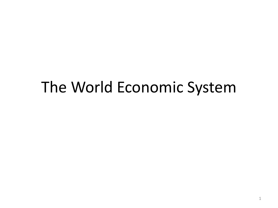# The World Economic System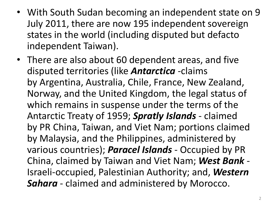- With South Sudan becoming an independent state on 9 July 2011, there are now 195 independent sovereign states in the world (including disputed but defacto independent Taiwan).
- There are also about 60 dependent areas, and five disputed territories (like *Antarctica* -claims by Argentina, Australia, Chile, France, New Zealand, Norway, and the United Kingdom, the legal status of which remains in suspense under the terms of the Antarctic Treaty of 1959; *Spratly Islands* - claimed by PR China, Taiwan, and Viet Nam; portions claimed by Malaysia, and the Philippines, administered by various countries); *Paracel Islands* - Occupied by PR China, claimed by Taiwan and Viet Nam; *West Bank* - Israeli-occupied, Palestinian Authority; and, *Western Sahara* - claimed and administered by Morocco.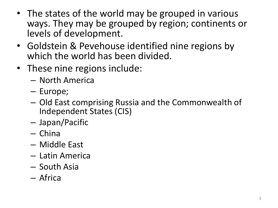- The states of the world may be grouped in various ways. They may be grouped by region; continents or levels of development.
- Goldstein & Pevehouse identified nine regions by which the world has been divided.
- These nine regions include:
	- North America
	- Europe;
	- Old East comprising Russia and the Commonwealth of Independent States (CIS)
	- Japan/Pacific
	- China
	- Middle East
	- Latin America
	- South Asia
	- Africa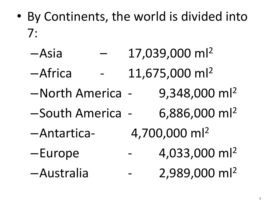- By Continents, the world is divided into 7:
	- $-$ Asia  $-$  17,039,000 ml<sup>2</sup>
	- $-A$ frica 11,675,000 m $|^{2}$
	- $-Morth$  America 9,348,000 ml<sup>2</sup>
	- $-$ South America 6,886,000 ml<sup>2</sup>
	- $-$ Antartica- 4,700,000 ml<sup>2</sup>
	-
	- –Australia 2,989,000 ml<sup>2</sup>
- 
- 
- 
- $-Eu$ rope  $-4,033,000 \text{ ml}^2$ 
	-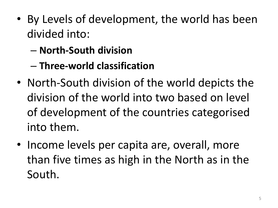- By Levels of development, the world has been divided into:
	- **North-South division**
	- **Three-world classification**
- North-South division of the world depicts the division of the world into two based on level of development of the countries categorised into them.
- Income levels per capita are, overall, more than five times as high in the North as in the South.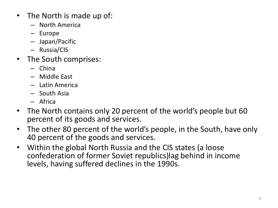- The North is made up of:
	- North America
	- Europe
	- Japan/Pacific
	- Russia/CIS
- The South comprises:
	- China
	- Middle East
	- Latin America
	- South Asia
	- Africa
- The North contains only 20 percent of the world's people but 60 percent of its goods and services.
- The other 80 percent of the world's people, in the South, have only 40 percent of the goods and services.
- Within the global North Russia and the CIS states (a loose confederation of former Soviet republics)lag behind in income levels, having suffered declines in the 1990s.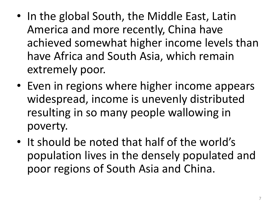- In the global South, the Middle East, Latin America and more recently, China have achieved somewhat higher income levels than have Africa and South Asia, which remain extremely poor.
- Even in regions where higher income appears widespread, income is unevenly distributed resulting in so many people wallowing in poverty.
- It should be noted that half of the world's population lives in the densely populated and poor regions of South Asia and China.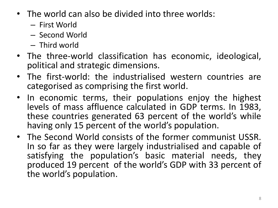- The world can also be divided into three worlds:
	- First World
	- Second World
	- Third world
- The three-world classification has economic, ideological, political and strategic dimensions.
- The first-world: the industrialised western countries are categorised as comprising the first world.
- In economic terms, their populations enjoy the highest levels of mass affluence calculated in GDP terms. In 1983, these countries generated 63 percent of the world's while having only 15 percent of the world's population.
- The Second World consists of the former communist USSR. In so far as they were largely industrialised and capable of satisfying the population's basic material needs, they produced 19 percent of the world's GDP with 33 percent of the world's population.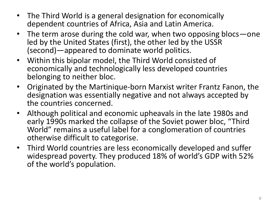- The Third World is a general designation for economically dependent countries of Africa, Asia and Latin America.
- The term arose during the cold war, when two opposing blocs one led by the United States (first), the other led by the USSR (second)—appeared to dominate world politics.
- Within this bipolar model, the Third World consisted of economically and technologically less developed countries belonging to neither bloc.
- Originated by the Martinique-born Marxist writer Frantz Fanon, the designation was essentially negative and not always accepted by the countries concerned.
- Although political and economic upheavals in the late 1980s and early 1990s marked the collapse of the Soviet power bloc, "Third World" remains a useful label for a conglomeration of countries otherwise difficult to categorise.
- Third World countries are less economically developed and suffer widespread poverty. They produced 18% of world's GDP with 52% of the world's population.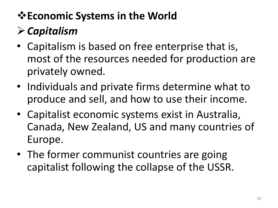#### **Economic Systems in the World**

## *Capitalism*

- Capitalism is based on free enterprise that is, most of the resources needed for production are privately owned.
- Individuals and private firms determine what to produce and sell, and how to use their income.
- Capitalist economic systems exist in Australia, Canada, New Zealand, US and many countries of Europe.
- The former communist countries are going capitalist following the collapse of the USSR.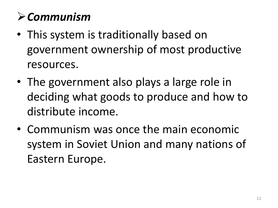#### *Communism*

- This system is traditionally based on government ownership of most productive resources.
- The government also plays a large role in deciding what goods to produce and how to distribute income.
- Communism was once the main economic system in Soviet Union and many nations of Eastern Europe.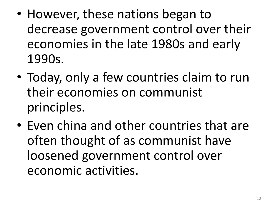- However, these nations began to decrease government control over their economies in the late 1980s and early 1990s.
- Today, only a few countries claim to run their economies on communist principles.
- Even china and other countries that are often thought of as communist have loosened government control over economic activities.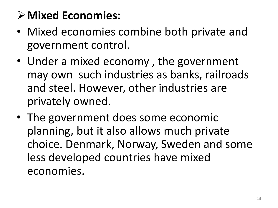## **Mixed Economies:**

- Mixed economies combine both private and government control.
- Under a mixed economy , the government may own such industries as banks, railroads and steel. However, other industries are privately owned.
- The government does some economic planning, but it also allows much private choice. Denmark, Norway, Sweden and some less developed countries have mixed economies.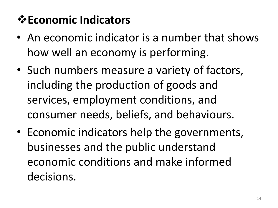## **<del>☆</del> Economic Indicators**

- An economic indicator is a number that shows how well an economy is performing.
- Such numbers measure a variety of factors, including the production of goods and services, employment conditions, and consumer needs, beliefs, and behaviours.
- Economic indicators help the governments, businesses and the public understand economic conditions and make informed decisions.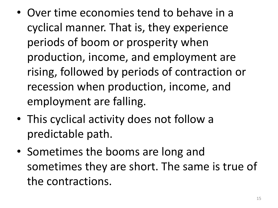- Over time economies tend to behave in a cyclical manner. That is, they experience periods of boom or prosperity when production, income, and employment are rising, followed by periods of contraction or recession when production, income, and employment are falling.
- This cyclical activity does not follow a predictable path.
- Sometimes the booms are long and sometimes they are short. The same is true of the contractions.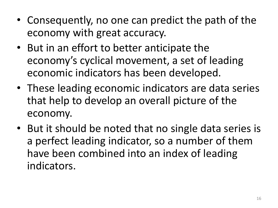- Consequently, no one can predict the path of the economy with great accuracy.
- But in an effort to better anticipate the economy's cyclical movement, a set of leading economic indicators has been developed.
- These leading economic indicators are data series that help to develop an overall picture of the economy.
- But it should be noted that no single data series is a perfect leading indicator, so a number of them have been combined into an index of leading indicators.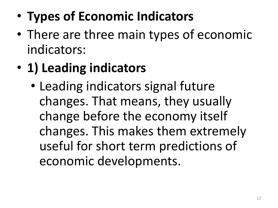- **Types of Economic Indicators**
- There are three main types of economic indicators:
- **1) Leading indicators**
	- Leading indicators signal future changes. That means, they usually change before the economy itself changes. This makes them extremely useful for short term predictions of economic developments.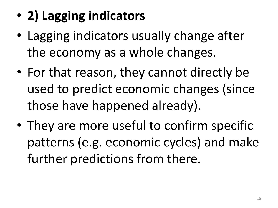- **2) Lagging indicators**
- Lagging indicators usually change after the economy as a whole changes.
- For that reason, they cannot directly be used to predict economic changes (since those have happened already).
- They are more useful to confirm specific patterns (e.g. economic cycles) and make further predictions from there.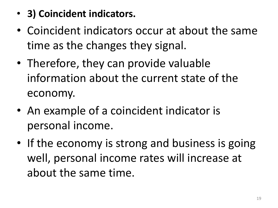- **3) Coincident indicators.**
- Coincident indicators occur at about the same time as the changes they signal.
- Therefore, they can provide valuable information about the current state of the economy.
- An example of a coincident indicator is personal income.
- If the economy is strong and business is going well, personal income rates will increase at about the same time.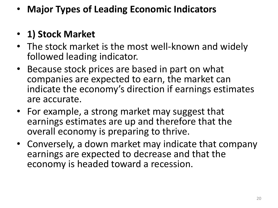• **Major Types of Leading Economic Indicators**

#### • **1) Stock Market**

- The stock market is the most well-known and widely followed leading indicator.
- Because stock prices are based in part on what companies are expected to earn, the market can indicate the economy's direction if earnings estimates are accurate.
- For example, a strong market may suggest that earnings estimates are up and therefore that the overall economy is preparing to thrive.
- Conversely, a down market may indicate that company earnings are expected to decrease and that the economy is headed toward a recession.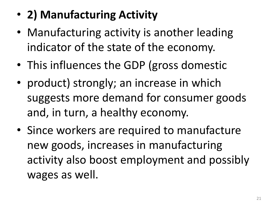## • **2) Manufacturing Activity**

- Manufacturing activity is another leading indicator of the state of the economy.
- This influences the GDP (gross domestic
- product) strongly; an increase in which suggests more demand for consumer goods and, in turn, a healthy economy.
- Since workers are required to manufacture new goods, increases in manufacturing activity also boost employment and possibly wages as well.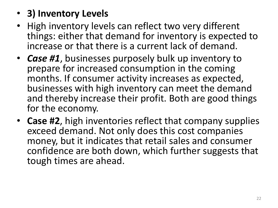#### • **3) Inventory Levels**

- High inventory levels can reflect two very different things: either that demand for inventory is expected to increase or that there is a current lack of demand.
- *Case #1*, businesses purposely bulk up inventory to prepare for increased consumption in the coming months. If consumer activity increases as expected, businesses with high inventory can meet the demand and thereby increase their profit. Both are good things for the economy.
- **Case #2**, high inventories reflect that company supplies exceed demand. Not only does this cost companies money, but it indicates that retail sales and consumer confidence are both down, which further suggests that tough times are ahead.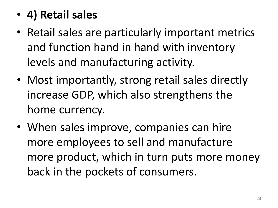#### • **4) Retail sales**

- Retail sales are particularly important metrics and function hand in hand with inventory levels and manufacturing activity.
- Most importantly, strong retail sales directly increase GDP, which also strengthens the home currency.
- When sales improve, companies can hire more employees to sell and manufacture more product, which in turn puts more money back in the pockets of consumers.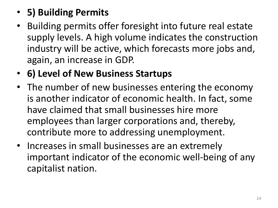#### • **5) Building Permits**

- Building permits offer foresight into future real estate supply levels. A high volume indicates the construction industry will be active, which forecasts more jobs and, again, an increase in GDP.
- **6) Level of New Business Startups**
- The number of new businesses entering the economy is another indicator of economic health. In fact, some have claimed that small businesses hire more employees than larger corporations and, thereby, contribute more to addressing unemployment.
- Increases in small businesses are an extremely important indicator of the economic well-being of any capitalist nation.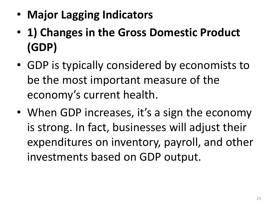- **Major Lagging Indicators**
- **1) Changes in the Gross Domestic Product (GDP)**
- GDP is typically considered by economists to be the most important measure of the economy's current health.
- When GDP increases, it's a sign the economy is strong. In fact, businesses will adjust their expenditures on inventory, payroll, and other investments based on GDP output.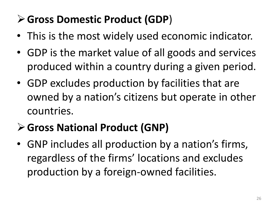#### **Gross Domestic Product (GDP**)

- This is the most widely used economic indicator.
- GDP is the market value of all goods and services produced within a country during a given period.
- GDP excludes production by facilities that are owned by a nation's citizens but operate in other countries.

#### **Gross National Product (GNP)**

• GNP includes all production by a nation's firms, regardless of the firms' locations and excludes production by a foreign-owned facilities.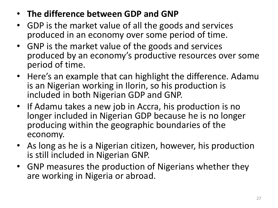- **The difference between GDP and GNP**
- GDP is the market value of all the goods and services produced in an economy over some period of time.
- GNP is the market value of the goods and services produced by an economy's productive resources over some period of time.
- Here's an example that can highlight the difference. Adamu is an Nigerian working in Ilorin, so his production is included in both Nigerian GDP and GNP.
- If Adamu takes a new job in Accra, his production is no longer included in Nigerian GDP because he is no longer producing within the geographic boundaries of the economy.
- As long as he is a Nigerian citizen, however, his production is still included in Nigerian GNP.
- GNP measures the production of Nigerians whether they are working in Nigeria or abroad.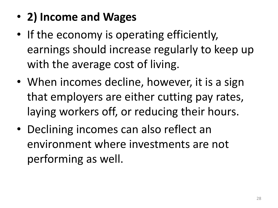## • **2) Income and Wages**

- If the economy is operating efficiently, earnings should increase regularly to keep up with the average cost of living.
- When incomes decline, however, it is a sign that employers are either cutting pay rates, laying workers off, or reducing their hours.
- Declining incomes can also reflect an environment where investments are not performing as well.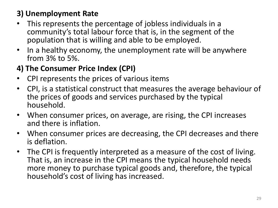#### **3) Unemployment Rate**

- This represents the percentage of jobless individuals in a community's total labour force that is, in the segment of the population that is willing and able to be employed.
- In a healthy economy, the unemployment rate will be anywhere from 3% to 5%.

#### **4) The Consumer Price Index (CPI)**

- CPI represents the prices of various items
- CPI, is a statistical construct that measures the average behaviour of the prices of goods and services purchased by the typical household.
- When consumer prices, on average, are rising, the CPI increases and there is inflation.
- When consumer prices are decreasing, the CPI decreases and there is deflation.
- The CPI is frequently interpreted as a measure of the cost of living. That is, an increase in the CPI means the typical household needs more money to purchase typical goods and, therefore, the typical household's cost of living has increased.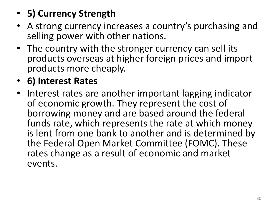- **5) Currency Strength**
- A strong currency increases a country's purchasing and selling power with other nations.
- The country with the stronger currency can sell its products overseas at higher foreign prices and import products more cheaply.
- **6) Interest Rates**
- Interest rates are another important lagging indicator of economic growth. They represent the cost of borrowing money and are based around the federal funds rate, which represents the rate at which money is lent from one bank to another and is determined by the Federal Open Market Committee (FOMC). These rates change as a result of economic and market events.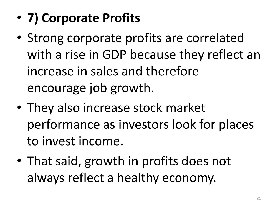- **7) Corporate Profits**
- Strong corporate profits are correlated with a rise in GDP because they reflect an increase in sales and therefore encourage job growth.
- They also increase stock market performance as investors look for places to invest income.
- That said, growth in profits does not always reflect a healthy economy.